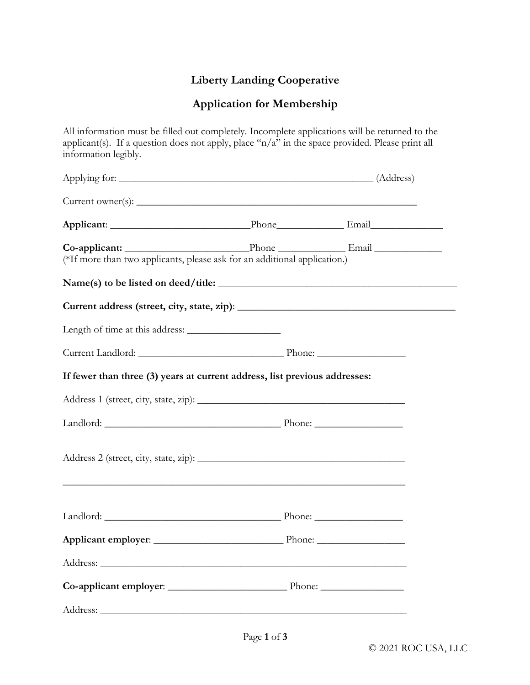## **Liberty Landing Cooperative**

## **Application for Membership**

All information must be filled out completely. Incomplete applications will be returned to the applicant(s). If a question does not apply, place "n/a" in the space provided. Please print all information legibly.

| Applying for: (Address)                                                          |  |
|----------------------------------------------------------------------------------|--|
|                                                                                  |  |
|                                                                                  |  |
| (*If more than two applicants, please ask for an additional application.)        |  |
|                                                                                  |  |
|                                                                                  |  |
|                                                                                  |  |
|                                                                                  |  |
| If fewer than three (3) years at current address, list previous addresses:       |  |
|                                                                                  |  |
| Landlord: Phone: Phone:                                                          |  |
| ,我们也不能在这里的时候,我们也不能在这里的时候,我们也不能会在这里的时候,我们也不能会在这里的时候,我们也不能会在这里的时候,我们也不能会在这里的时候,我们也 |  |
|                                                                                  |  |
|                                                                                  |  |
|                                                                                  |  |
|                                                                                  |  |
|                                                                                  |  |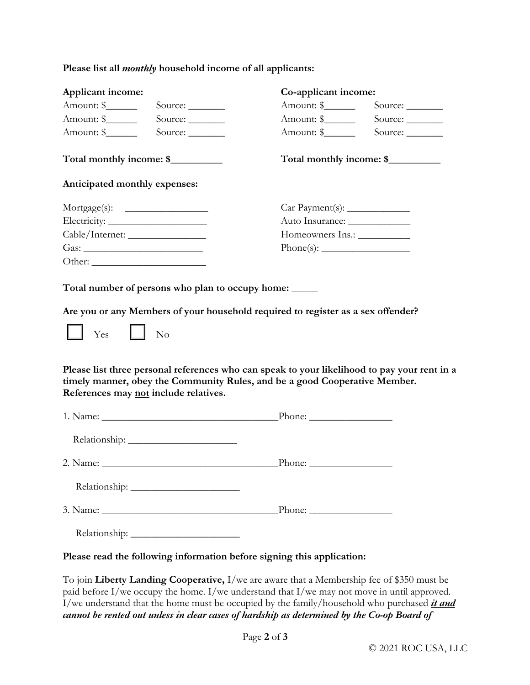|  |  | Please list all <i>monthly</i> household income of all applicants: |  |  |  |
|--|--|--------------------------------------------------------------------|--|--|--|
|  |  |                                                                    |  |  |  |

| Applicant income:             |                                       | Co-applicant income:                                                                                                                                                                      |                          |  |  |  |
|-------------------------------|---------------------------------------|-------------------------------------------------------------------------------------------------------------------------------------------------------------------------------------------|--------------------------|--|--|--|
| Amount: \$                    | Source:                               | Amount: \$                                                                                                                                                                                | Source: $\_\_$           |  |  |  |
| Amount: \$                    | Source:                               | Amount: \$                                                                                                                                                                                | Source:                  |  |  |  |
| Amount: \$                    | Source:                               | Amount: \$                                                                                                                                                                                | Source:                  |  |  |  |
| Total monthly income: \$      |                                       |                                                                                                                                                                                           | Total monthly income: \$ |  |  |  |
| Anticipated monthly expenses: |                                       |                                                                                                                                                                                           |                          |  |  |  |
|                               | $Mortgage(s): \t________$             |                                                                                                                                                                                           |                          |  |  |  |
|                               |                                       |                                                                                                                                                                                           |                          |  |  |  |
|                               |                                       | Homeowners Ins.: ____________                                                                                                                                                             |                          |  |  |  |
| Gas: $\overline{\phantom{a}}$ |                                       |                                                                                                                                                                                           |                          |  |  |  |
|                               |                                       |                                                                                                                                                                                           |                          |  |  |  |
|                               | References may not include relatives. | Please list three personal references who can speak to your likelihood to pay your rent in a<br>timely manner, obey the Community Rules, and be a good Cooperative Member.                |                          |  |  |  |
|                               |                                       |                                                                                                                                                                                           |                          |  |  |  |
|                               |                                       |                                                                                                                                                                                           |                          |  |  |  |
|                               |                                       |                                                                                                                                                                                           |                          |  |  |  |
|                               |                                       |                                                                                                                                                                                           |                          |  |  |  |
|                               |                                       |                                                                                                                                                                                           |                          |  |  |  |
|                               |                                       |                                                                                                                                                                                           |                          |  |  |  |
|                               |                                       | Please read the following information before signing this application:                                                                                                                    |                          |  |  |  |
|                               |                                       | To join Liberty Landing Cooperative, I/we are aware that a Membership fee of \$350 must be<br>paid before I/we occupy the home. I/we understand that I/we may not move in until approved. |                          |  |  |  |

I/we understand that the home must be occupied by the family/household who purchased *it and cannot be rented out unless in clear cases of hardship as determined by the Co-op Board of*